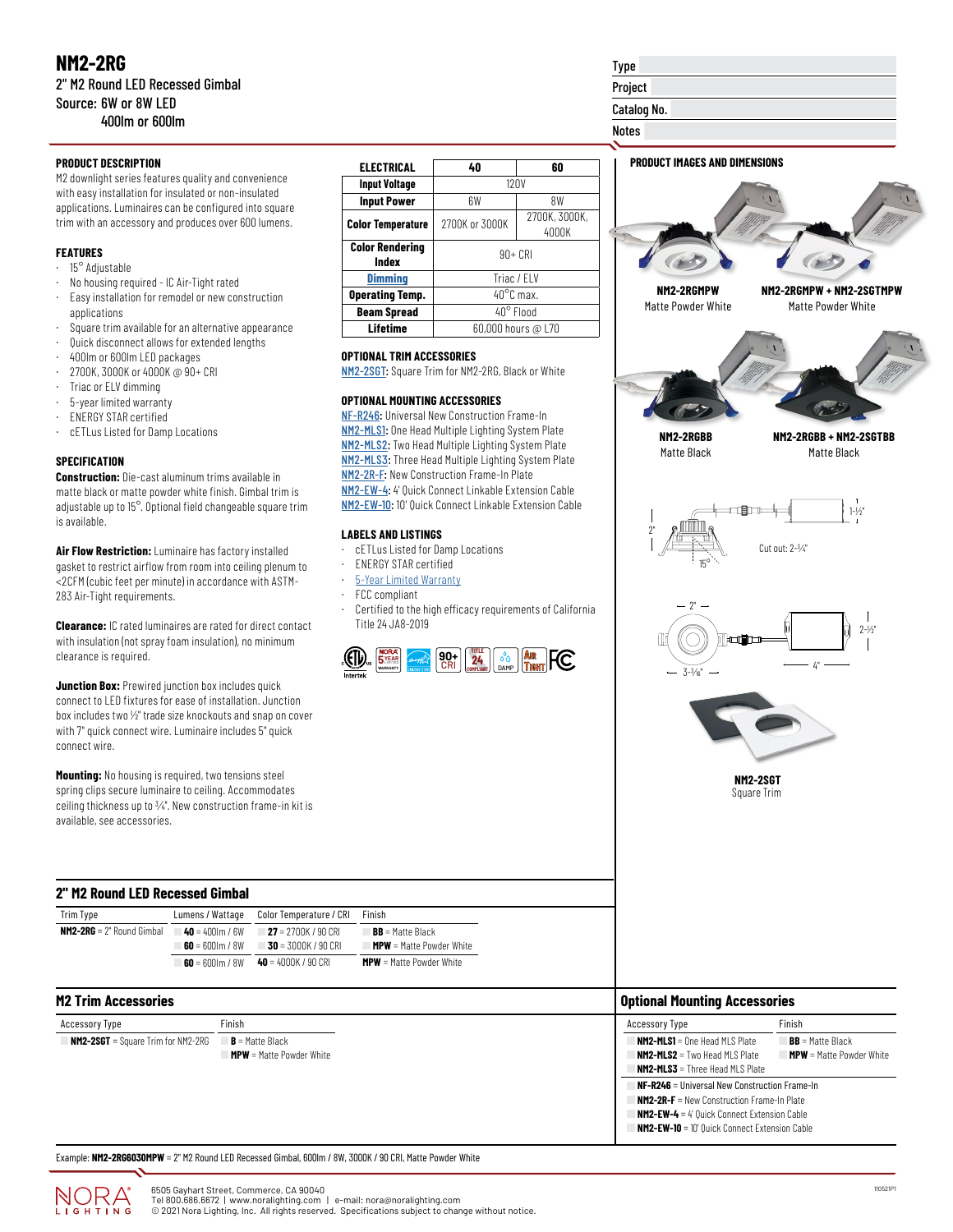M2 downlight series features quality and convenience with easy installation for insulated or non-insulated applications. Luminaires can be configured into square trim with an accessory and produces over 600 lumens.

## **FEATURES**

- · 15° Adjustable
- · No housing required IC Air-Tight rated
- · Easy installation for remodel or new construction applications
- Square trim available for an alternative appearance
- · Quick disconnect allows for extended lengths
- · 400lm or 600lm LED packages
- · 2700K, 3000K or 4000K @ 90+ CRI
- Triac or ELV dimming
- · 5-year limited warranty
- · ENERGY STAR certified
- · cETLus Listed for Damp Locations

### **SPECIFICATION**

**Construction:** Die-cast aluminum trims available in matte black or matte powder white finish. Gimbal trim is adjustable up to 15°. Optional field changeable square trim is available.

**Air Flow Restriction:** Luminaire has factory installed gasket to restrict airflow from room into ceiling plenum to <2CFM (cubic feet per minute) in accordance with ASTM-283 Air-Tight requirements.

**Clearance:** IC rated luminaires are rated for direct contact with insulation (not spray foam insulation), no minimum clearance is required.

**Junction Box:** Prewired junction box includes quick connect to LED fixtures for ease of installation. Junction box includes two  $1/2$ " trade size knockouts and snap on cover with 7" quick connect wire. Luminaire includes 5" quick connect wire.

**Mounting:** No housing is required, two tensions steel spring clips secure luminaire to ceiling. Accommodates ceiling thickness up to 3/4". New construction frame-in kit is available, see accessories.

#### **2" M2 Round LED Recessed Gimbal**

| Trim Type                           |                             | Lumens / Wattage Color Temperature / CRI          | Finish                          |
|-------------------------------------|-----------------------------|---------------------------------------------------|---------------------------------|
| <b>NM2-2RG</b> = $2^n$ Round Gimbal | $40 = 400$ km / 6W          | $= 27 = 2700K/90CRI$                              | $BB = Matte Black$              |
|                                     | $60 = 600 \, \text{m}$ / 8W | $30 = 3000K / 90CRI$                              | <b>MPW</b> = Matte Powder White |
|                                     |                             | <b>60</b> = 600lm / 8W <b>40</b> = 4000K / 90 CRI | $MPW =$ Matte Powder White      |

| <b>M2 Trim Accessories</b>                |                                                      | <b>Optional Mounting Accessories</b>                                                                                                                                           |                                                       |
|-------------------------------------------|------------------------------------------------------|--------------------------------------------------------------------------------------------------------------------------------------------------------------------------------|-------------------------------------------------------|
| Accessory Type                            | Finish                                               | <b>Accessory Type</b>                                                                                                                                                          | Finish                                                |
| <b>NM2-2SGT</b> = Square Trim for NM2-2RG | $B$ = Matte Black<br><b>MPW</b> = Matte Powder White | <b>NM2-MLS1</b> = One Head MLS Plate<br><b>NM2-MLS2</b> = Two Head MLS Plate<br><b>NM2-MLS3</b> = Three Head MLS Plate<br><b>NF-R246</b> = Universal New Construction Frame-In | $BB = Matte Black$<br><b>MPW</b> = Matte Powder White |
|                                           |                                                      | <b>NM2-2R-F</b> = New Construction Frame-In Plate<br><b>NM2-EW-4</b> = $4'$ Quick Connect Extension Cable<br><b>NM2-EW-10</b> = 10' Quick Connect Extension Cable              |                                                       |

Example: **NM2-2RG6030MPW** = 2" M2 Round LED Recessed Gimbal, 600lm / 8W, 3000K / 90 CRI, Matte Powder White



Type

#### **OPTIONAL TRIM ACCESSORIES**

[NM2-2SGT:](https://noralighting.com/product/nm2-2sgt/) Square Trim for NM2-2RG, Black or White

#### **OPTIONAL MOUNTING ACCESSORIES**

[NF-R246](https://noralighting.com/product/nf-r246/): Universal New Construction Frame-In [NM2-MLS1:](https://noralighting.com/product/nm2-mls1/) One Head Multiple Lighting System Plate [NM2-MLS2](https://noralighting.com/product/nm2-mls2/): Two Head Multiple Lighting System Plate [NM2-MLS3](https://noralighting.com/product/nm2-mls3/): Three Head Multiple Lighting System Plate [NM2-2R-F:](https://noralighting.com/product/nm2-2r-f/) New Construction Frame-In Plate [NM2-EW-4](https://noralighting.com/product/nm2-ew-4/): 4' Quick Connect Linkable Extension Cable [NM2-EW-10](https://noralighting.com/product/nm2-ew-10/): 10' Quick Connect Linkable Extension Cable

#### **LABELS AND LISTINGS**

- cETLus Listed for Damp Locations
- · ENERGY STAR certified
- · [5-Year Limited Warranty](https://noralighting.com/product/nm2-2sgt/)
- · FCC compliant
- Certified to the high efficacy requirements of California Title 24 JA8-2019



| NM2-2RGMPW<br>Matte Powder White                                         | NM2-2RGMPW + NM2-2SGTMPW<br>Matte Powder White |
|--------------------------------------------------------------------------|------------------------------------------------|
|                                                                          |                                                |
| NM2-2RGBB<br>Matte Black                                                 | NM2-2RGBB + NM2-2SGTBB<br>Matte Black          |
| ाडी १<br>$\begin{array}{c} 1 \\ 2 \\ 1 \end{array}$<br>ļ<br>$15^{\circ}$ | $1 - \frac{1}{2}$<br>Ŵ<br>Cut out: 2-3/4"      |
| $2^{\circ}$<br>Œ<br>╖<br>Ξ<br>$3 - \frac{3}{16}$ "                       | I<br>$2 - \frac{1}{2}$<br>$4^{n}$              |
|                                                                          |                                                |
|                                                                          | <b>NM2-2SGT</b><br>Square Trim                 |
|                                                                          |                                                |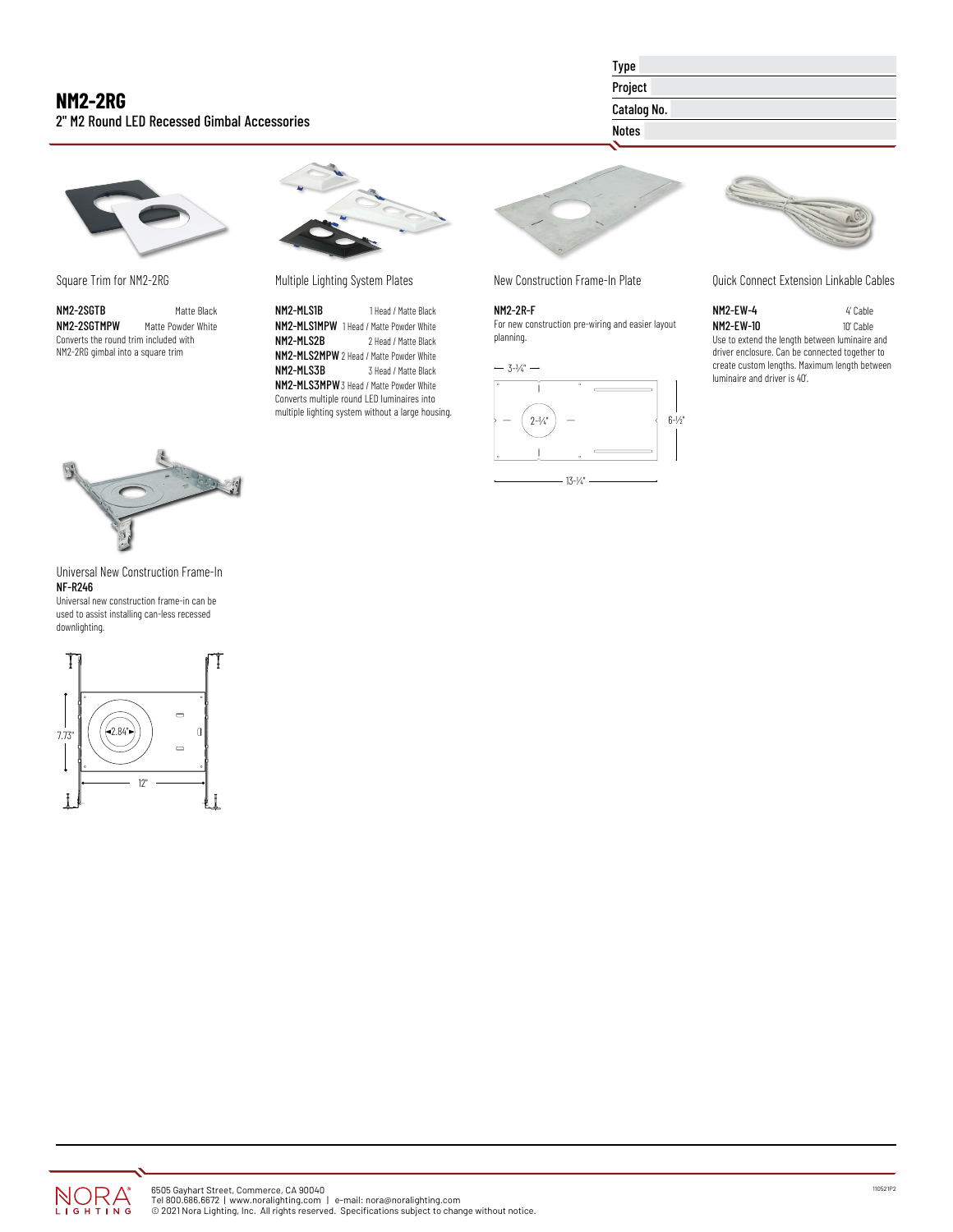# **NM2-2RG** 2" M2 Round LED Recessed Gimbal Accessories

Type

## Project

Catalog No.

# Notes

Square Trim for NM2-2RG

**NM2-2SGTB** Matte Black<br>**NM2-2SGTMPW** Matte Powder White Matte Powder White Converts the round trim included with NM2-2RG gimbal into a square trim



Multiple Lighting System Plates

NM2-MLS1B 1 Head / Matte Black **NM2-MLS1MPW** 1 Head / Matte Powder White<br>**NM2-MLS2B** 2 Head / Matte Black 2 Head / Matte Black NM2-MLS2MPW 2 Head / Matte Powder White<br>NM2-MLS3B 3 Head / Matte Black 3 Head / Matte Black NM2-MLS3MPW3 Head / Matte Powder White Converts multiple round LED luminaires into multiple lighting system without a large housing.



## New Construction Frame-In Plate

NM2-2R-F For new construction pre-wiring and easier layout planning.

 $-3-3/4$ "  $-$ 





Quick Connect Extension Linkable Cables

**NM2-EW-4** 4' Cable<br>**NM2-EW-10** 10' Cable NM2-EW-10 Use to extend the length between luminaire and driver enclosure. Can be connected together to create custom lengths. Maximum length between luminaire and driver is 40'.



#### Universal New Construction Frame-In NF-R246

Universal new construction frame-in can be used to assist installing can-less recessed downlighting.



T I N G